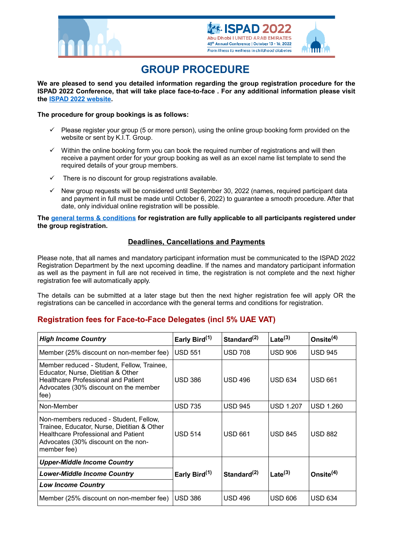





# **GROUP PROCEDURE**

**We are pleased to send you detailed information regarding the group registration procedure for the ISPAD 2022 Conference, that will take place face-to-face . For any additional information please visit the [ISPAD 2022 website.](https://2022.ispad.org/)**

### **The procedure for group bookings is as follows:**

- $\checkmark$  Please register your group (5 or more person), using the online group booking form provided on the website or sent by K.I.T. Group.
- Within the online booking form you can book the required number of registrations and will then receive a payment order for your group booking as well as an excel name list template to send the required details of your group members.
- There is no discount for group registrations available.
- New group requests will be considered until September 30, 2022 (names, required participant data and payment in full must be made until October 6, 2022) to guarantee a smooth procedure. After that date, only individual online registration will be possible.

**The [general terms & conditions](file:///F:/Office/KIT/PROJEKTE/ISPAD/Annual%20Conferences/ISPAD%202022_Abu%20Dhabi/9.%20DELEGATE%20SERVICES/GTC/ISPAD22_General_Terms_and_Conditions_Final.pdf) for registration are fully applicable to all participants registered under the group registration.**

## **Deadlines, Cancellations and Payments**

Please note, that all names and mandatory participant information must be communicated to the ISPAD 2022 Registration Department by the next upcoming deadline. If the names and mandatory participant information as well as the payment in full are not received in time, the registration is not complete and the next higher registration fee will automatically apply.

The details can be submitted at a later stage but then the next higher registration fee will apply OR the registrations can be cancelled in accordance with the general terms and conditions for registration.

## **Registration fees for Face-to-Face Delegates (incl 5% UAE VAT)**

| <b>High Income Country</b>                                                                                                                                                                | Early Bird <sup>(1)</sup> | Standard <sup>(2)</sup> | Late $^{(3)}$    | Onsite $(4)$     |
|-------------------------------------------------------------------------------------------------------------------------------------------------------------------------------------------|---------------------------|-------------------------|------------------|------------------|
| Member (25% discount on non-member fee)                                                                                                                                                   | <b>USD 551</b>            | <b>USD 708</b>          | <b>USD 906</b>   | <b>USD 945</b>   |
| Member reduced - Student, Fellow, Trainee,<br>Educator, Nurse, Dietitian & Other<br><b>Healthcare Professional and Patient</b><br>Advocates (30% discount on the member<br>fee)           | <b>USD 386</b>            | <b>USD 496</b>          | <b>USD 634</b>   | <b>USD 661</b>   |
| Non-Member                                                                                                                                                                                | <b>USD 735</b>            | <b>USD 945</b>          | <b>USD 1.207</b> | <b>USD 1.260</b> |
| Non-members reduced - Student, Fellow,<br>Trainee, Educator, Nurse, Dietitian & Other<br><b>Healthcare Professional and Patient</b><br>Advocates (30% discount on the non-<br>member fee) | <b>USD 514</b>            | <b>USD 661</b>          | <b>USD 845</b>   | <b>USD 882</b>   |
| <b>Upper-Middle Income Country</b>                                                                                                                                                        |                           |                         |                  |                  |
| <b>Lower-Middle Income Country</b>                                                                                                                                                        | Early Bird <sup>(1)</sup> | Standard $(2)$          | Late $^{(3)}$    | Onsite $(4)$     |
| <b>Low Income Country</b>                                                                                                                                                                 |                           |                         |                  |                  |
| Member (25% discount on non-member fee)                                                                                                                                                   | <b>USD 386</b>            | <b>USD 496</b>          | <b>USD 606</b>   | <b>USD 634</b>   |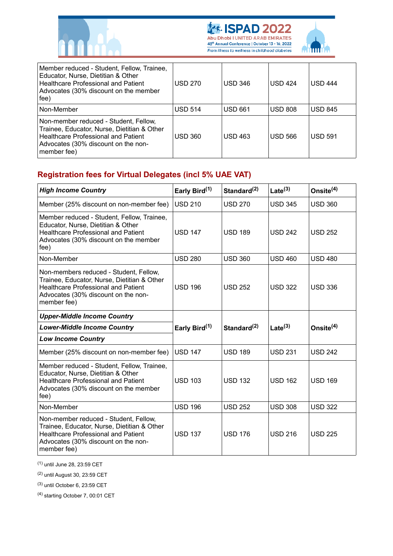





| Member reduced - Student, Fellow, Trainee,<br>Educator, Nurse, Dietitian & Other<br><b>Healthcare Professional and Patient</b><br>Advocates (30% discount on the member<br>fee)   | <b>USD 270</b> | <b>USD 346</b> | <b>USD 424</b> | <b>USD 444</b> |
|-----------------------------------------------------------------------------------------------------------------------------------------------------------------------------------|----------------|----------------|----------------|----------------|
| Non-Member                                                                                                                                                                        | <b>USD 514</b> | <b>USD 661</b> | <b>USD 808</b> | <b>USD 845</b> |
| Non-member reduced - Student, Fellow,<br>Trainee, Educator, Nurse, Dietitian & Other<br>Healthcare Professional and Patient<br>Advocates (30% discount on the non-<br>member fee) | <b>USD 360</b> | <b>USD 463</b> | <b>USD 566</b> | <b>USD 591</b> |

## **Registration fees for Virtual Delegates (incl 5% UAE VAT)**

| <b>High Income Country</b>                                                                                                                                                                | Early Bird <sup>(1)</sup> | Standard <sup>(2)</sup> | $\text{Late}^{(3)}$ | Onsite $(4)$   |
|-------------------------------------------------------------------------------------------------------------------------------------------------------------------------------------------|---------------------------|-------------------------|---------------------|----------------|
| Member (25% discount on non-member fee)                                                                                                                                                   | <b>USD 210</b>            | <b>USD 270</b>          | <b>USD 345</b>      | <b>USD 360</b> |
| Member reduced - Student, Fellow, Trainee,<br>Educator, Nurse, Dietitian & Other<br><b>Healthcare Professional and Patient</b><br>Advocates (30% discount on the member<br>fee)           | <b>USD 147</b>            | <b>USD 189</b>          | <b>USD 242</b>      | <b>USD 252</b> |
| Non-Member                                                                                                                                                                                | <b>USD 280</b>            | <b>USD 360</b>          | <b>USD 460</b>      | <b>USD 480</b> |
| Non-members reduced - Student, Fellow,<br>Trainee, Educator, Nurse, Dietitian & Other<br><b>Healthcare Professional and Patient</b><br>Advocates (30% discount on the non-<br>member fee) | <b>USD 196</b>            | <b>USD 252</b>          | <b>USD 322</b>      | <b>USD 336</b> |
| <b>Upper-Middle Income Country</b>                                                                                                                                                        |                           |                         |                     |                |
| <b>Lower-Middle Income Country</b>                                                                                                                                                        | Early Bird <sup>(1)</sup> | Standard $^{(2)}$       | Late $^{(3)}$       | Onsite $(4)$   |
| <b>Low Income Country</b>                                                                                                                                                                 |                           |                         |                     |                |
| Member (25% discount on non-member fee)                                                                                                                                                   | <b>USD 147</b>            | <b>USD 189</b>          | <b>USD 231</b>      | <b>USD 242</b> |
| Member reduced - Student, Fellow, Trainee,<br>Educator, Nurse, Dietitian & Other<br><b>Healthcare Professional and Patient</b><br>Advocates (30% discount on the member<br>fee)           | <b>USD 103</b>            | <b>USD 132</b>          | <b>USD 162</b>      | <b>USD 169</b> |
| Non-Member                                                                                                                                                                                | <b>USD 196</b>            | <b>USD 252</b>          | <b>USD 308</b>      | <b>USD 322</b> |
| Non-member reduced - Student, Fellow,<br>Trainee, Educator, Nurse, Dietitian & Other<br><b>Healthcare Professional and Patient</b><br>Advocates (30% discount on the non-<br>member fee)  | <b>USD 137</b>            | <b>USD 176</b>          | <b>USD 216</b>      | <b>USD 225</b> |

(1) until June 28, 23:59 CET

(2) until August 30, 23:59 CET

(3) until October 6, 23:59 CET

(4) starting October 7, 00:01 CET